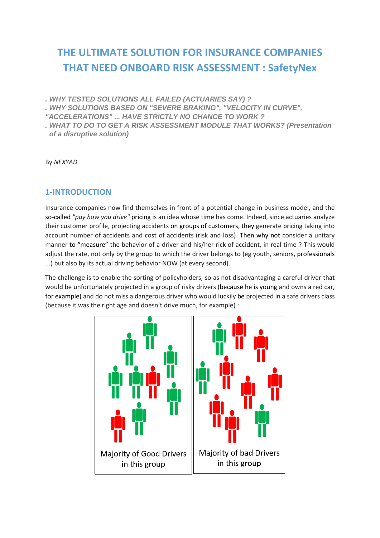# **THE ULTIMATE SOLUTION FOR INSURANCE COMPANIES THAT NEED ONBOARD RISK ASSESSMENT : SafetyNex**

*. WHY TESTED SOLUTIONS ALL FAILED (ACTUARIES SAY) ?*

*. WHY SOLUTIONS BASED ON "SEVERE BRAKING", "VELOCITY IN CURVE",* 

*"ACCELERATIONS" ... HAVE STRICTLY NO CHANCE TO WORK ?*

*. WHAT TO DO TO GET A RISK ASSESSMENT MODULE THAT WORKS? (Presentation of a disruptive solution)*

By *NEXYAD*

# **1-INTRODUCTION**

Insurance companies now find themselves in front of a potential change in business model, and the so-called *"pay how you drive"* pricing is an idea whose time has come. Indeed, since actuaries analyze their customer profile, projecting accidents on groups of customers, they generate pricing taking into account number of accidents and cost of accidents (risk and loss). Then why not consider a unitary manner to "measure" the behavior of a driver and his/her rick of accident, in real time ? This would adjust the rate, not only by the group to which the driver belongs to (eg youth, seniors, professionals ...) but also by its actual driving behavior NOW (at every second).

The challenge is to enable the sorting of policyholders, so as not disadvantaging a careful driver that would be unfortunately projected in a group of risky drivers (because he is young and owns a red car, for example) and do not miss a dangerous driver who would luckily be projected in a safe drivers class (because it was the right age and doesn't drive much, for example) :

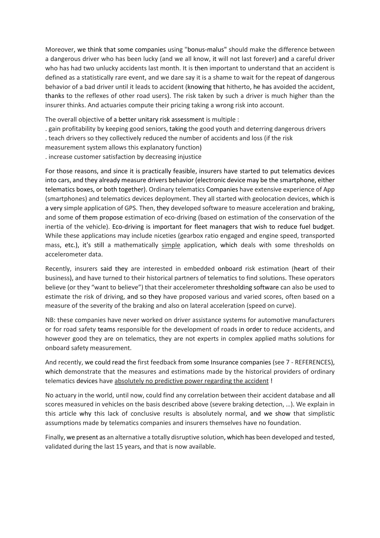Moreover, we think that some companies using "bonus-malus" should make the difference between a dangerous driver who has been lucky (and we all know, it will not last forever) and a careful driver who has had two unlucky accidents last month. It is then important to understand that an accident is defined as a statistically rare event, and we dare say it is a shame to wait for the repeat of dangerous behavior of a bad driver until it leads to accident (knowing that hitherto, he has avoided the accident, thanks to the reflexes of other road users). The risk taken by such a driver is much higher than the insurer thinks. And actuaries compute their pricing taking a wrong risk into account.

The overall objective of a better unitary risk assessment is multiple :

- . gain profitability by keeping good seniors, taking the good youth and deterring dangerous drivers
- . teach drivers so they collectively reduced the number of accidents and loss (if the risk
- measurement system allows this explanatory function)
- . increase customer satisfaction by decreasing injustice

For those reasons, and since it is practically feasible, insurers have started to put telematics devices into cars, and they already measure drivers behavior (electronic device may be the smartphone, either telematics boxes, or both together). Ordinary telematics Companies have extensive experience of App (smartphones) and telematics devices deployment. They all started with geolocation devices, which is a very simple application of GPS. Then, they developed software to measure acceleration and braking, and some of them propose estimation of eco-driving (based on estimation of the conservation of the inertia of the vehicle). Eco-driving is important for fleet managers that wish to reduce fuel budget. While these applications may include niceties (gearbox ratio engaged and engine speed, transported mass, etc.), it's still a mathematically simple application, which deals with some thresholds on accelerometer data.

Recently, insurers said they are interested in embedded onboard risk estimation (heart of their business), and have turned to their historical partners of telematics to find solutions. These operators believe (or they "want to believe") that their accelerometer thresholding software can also be used to estimate the risk of driving, and so they have proposed various and varied scores, often based on a measure of the severity of the braking and also on lateral acceleration (speed on curve).

NB: these companies have never worked on driver assistance systems for automotive manufacturers or for road safety teams responsible for the development of roads in order to reduce accidents, and however good they are on telematics, they are not experts in complex applied maths solutions for onboard safety measurement.

And recently, we could read the first feedback from some Insurance companies (see 7 - REFERENCES), which demonstrate that the measures and estimations made by the historical providers of ordinary telematics devices have absolutely no predictive power regarding the accident !

No actuary in the world, until now, could find any correlation between their accident database and all scores measured in vehicles on the basis described above (severe braking detection, …). We explain in this article why this lack of conclusive results is absolutely normal, and we show that simplistic assumptions made by telematics companies and insurers themselves have no foundation.

Finally, we present as an alternative a totally disruptive solution, which has been developed and tested, validated during the last 15 years, and that is now available.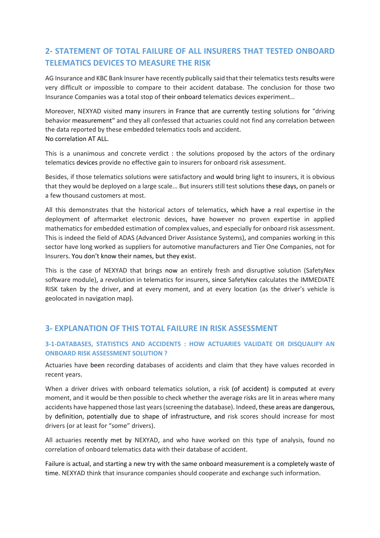# **2- STATEMENT OF TOTAL FAILURE OF ALL INSURERS THAT TESTED ONBOARD TELEMATICS DEVICES TO MEASURE THE RISK**

AG Insurance and KBC Bank Insurer have recently publically said that their telematics tests results were very difficult or impossible to compare to their accident database. The conclusion for those two Insurance Companies was a total stop of their onboard telematics devices experiment…

Moreover, NEXYAD visited many insurers in France that are currently testing solutions for "driving behavior measurement" and they all confessed that actuaries could not find any correlation between the data reported by these embedded telematics tools and accident. No correlation AT ALL.

This is a unanimous and concrete verdict : the solutions proposed by the actors of the ordinary telematics devices provide no effective gain to insurers for onboard risk assessment.

Besides, if those telematics solutions were satisfactory and would bring light to insurers, it is obvious that they would be deployed on a large scale... But insurers still test solutions these days, on panels or a few thousand customers at most.

All this demonstrates that the historical actors of telematics, which have a real expertise in the deployment of aftermarket electronic devices, have however no proven expertise in applied mathematics for embedded estimation of complex values, and especially for onboard risk assessment. This is indeed the field of ADAS (Advanced Driver Assistance Systems), and companies working in this sector have long worked as suppliers for automotive manufacturers and Tier One Companies, not for Insurers. You don't know their names, but they exist.

This is the case of NEXYAD that brings now an entirely fresh and disruptive solution (SafetyNex software module), a revolution in telematics for insurers, since SafetyNex calculates the IMMEDIATE RISK taken by the driver, and at every moment, and at every location (as the driver's vehicle is geolocated in navigation map).

# **3- EXPLANATION OF THIS TOTAL FAILURE IN RISK ASSESSMENT**

#### **3-1-DATABASES, STATISTICS AND ACCIDENTS : HOW ACTUARIES VALIDATE OR DISQUALIFY AN ONBOARD RISK ASSESSMENT SOLUTION ?**

Actuaries have been recording databases of accidents and claim that they have values recorded in recent years.

When a driver drives with onboard telematics solution, a risk (of accident) is computed at every moment, and it would be then possible to check whether the average risks are lit in areas where many accidents have happened those last years (screening the database). Indeed, these areas are dangerous, by definition, potentially due to shape of infrastructure, and risk scores should increase for most drivers (or at least for "some" drivers).

All actuaries recently met by NEXYAD, and who have worked on this type of analysis, found no correlation of onboard telematics data with their database of accident.

Failure is actual, and starting a new try with the same onboard measurement is a completely waste of time. NEXYAD think that insurance companies should cooperate and exchange such information.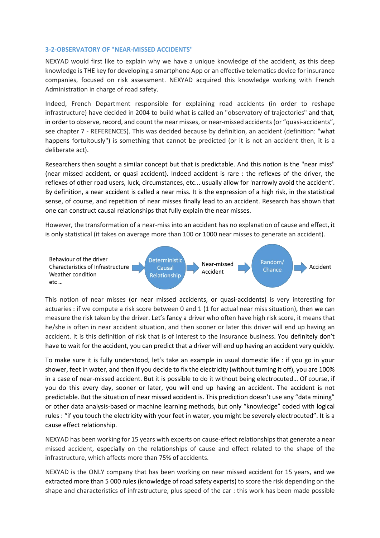#### **3-2-OBSERVATORY OF "NEAR-MISSED ACCIDENTS"**

NEXYAD would first like to explain why we have a unique knowledge of the accident, as this deep knowledge is THE key for developing a smartphone App or an effective telematics device for insurance companies, focused on risk assessment. NEXYAD acquired this knowledge working with French Administration in charge of road safety.

Indeed, French Department responsible for explaining road accidents (in order to reshape infrastructure) have decided in 2004 to build what is called an "observatory of trajectories" and that, in order to observe, record, and count the near misses, or near-missed accidents (or "quasi-accidents", see chapter 7 - REFERENCES). This was decided because by definition, an accident (definition: "what happens fortuitously") is something that cannot be predicted (or it is not an accident then, it is a deliberate act).

Researchers then sought a similar concept but that is predictable. And this notion is the "near miss" (near missed accident, or quasi accident). Indeed accident is rare : the reflexes of the driver, the reflexes of other road users, luck, circumstances, etc... usually allow for 'narrowly avoid the accident'. By definition, a near accident is called a near miss. It is the expression of a high risk, in the statistical sense, of course, and repetition of near misses finally lead to an accident. Research has shown that one can construct causal relationships that fully explain the near misses.

However, the transformation of a near-miss into an accident has no explanation of cause and effect, it is only statistical (it takes on average more than 100 or 1000 near misses to generate an accident).



This notion of near misses (or near missed accidents, or quasi-accidents) is very interesting for actuaries : if we compute a risk score between 0 and 1 (1 for actual near miss situation), then we can measure the risk taken by the driver. Let's fancy a driver who often have high risk score, it means that he/she is often in near accident situation, and then sooner or later this driver will end up having an accident. It is this definition of risk that is of interest to the insurance business. You definitely don't have to wait for the accident, you can predict that a driver will end up having an accident very quickly.

To make sure it is fully understood, let's take an example in usual domestic life : if you go in your shower, feet in water, and then if you decide to fix the electricity (without turning it off), you are 100% in a case of near-missed accident. But it is possible to do it without being electrocuted… Of course, if you do this every day, sooner or later, you will end up having an accident. The accident is not predictable. But the situation of near missed accident is. This prediction doesn't use any "data mining" or other data analysis-based or machine learning methods, but only "knowledge" coded with logical rules : "if you touch the electricity with your feet in water, you might be severely electrocuted". It is a cause effect relationship.

NEXYAD has been working for 15 years with experts on cause-effect relationships that generate a near missed accident, especially on the relationships of cause and effect related to the shape of the infrastructure, which affects more than 75% of accidents.

NEXYAD is the ONLY company that has been working on near missed accident for 15 years, and we extracted more than 5 000 rules (knowledge of road safety experts) to score the risk depending on the shape and characteristics of infrastructure, plus speed of the car : this work has been made possible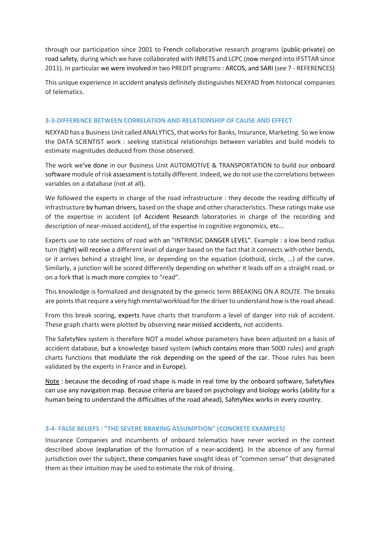through our participation since 2001 to French collaborative research programs (public-private) on road safety, during which we have collaborated with INRETS and LCPC (now merged into IFSTTAR since 2011). In particular we were involved in two PREDIT programs : ARCOS, and SARI (see 7 - REFERENCES)

This unique experience in accident analysis definitely distinguishes NEXYAD from historical companies of telematics.

#### **3-3-DIFFERENCE BETWEEN CORRELATION AND RELATIONSHIP OF CAUSE AND EFFECT**

NEXYAD has a Business Unit called ANALYTICS, that works for Banks, Insurance, Marketing. So we know the DATA SCIENTIST work : seeking statistical relationships between variables and build models to estimate magnitudes deduced from those observed.

The work we've done in our Business Unit AUTOMOTIVE & TRANSPORTATION to build our onboard software module of risk assessment is totally different. Indeed, we do not use the correlations between variables on a database (not at all).

We followed the experts in charge of the road infrastructure : they decode the reading difficulty of infrastructure by human drivers, based on the shape and other characteristics. These ratings make use of the expertise in accident (of Accident Research laboratories in charge of the recording and description of near-missed accident), of the expertise in cognitive ergonomics, etc...

Experts use to rate sections of road with an "INTRINSIC DANGER LEVEL". Example : a low bend radius turn (tight) will receive a different level of danger based on the fact that it connects with other bends, or it arrives behind a straight line, or depending on the equation (clothoid, circle, …) of the curve. Similarly, a junction will be scored differently depending on whether it leads off on a straight road, or on a fork that is much more complex to "read".

This knowledge is formalized and designated by the generic term BREAKING ON A ROUTE. The breaks are points that require a very high mental workload for the driver to understand how is the road ahead.

From this break scoring, experts have charts that transform a level of danger into risk of accident. These graph charts were plotted by observing near missed accidents, not accidents.

The SafetyNex system is therefore NOT a model whose parameters have been adjusted on a basis of accident database, but a knowledge based system (which contains more than 5000 rules) and graph charts functions that modulate the risk depending on the speed of the car. Those rules has been validated by the experts in France and in Europe).

Note : because the decoding of road shape is made in real time by the onboard software, SafetyNex can use any navigation map. Because criteria are based on psychology and biology works (ability for a human being to understand the difficulties of the road ahead), SafetyNex works in every country.

#### **3-4- FALSE BELIEFS : "THE SEVERE BRAKING ASSUMPTION" (CONCRETE EXAMPLES)**

Insurance Companies and incumbents of onboard telematics have never worked in the context described above (explanation of the formation of a near-accident). In the absence of any formal jurisdiction over the subject, these companies have sought ideas of "common sense" that designated them as their intuition may be used to estimate the risk of driving.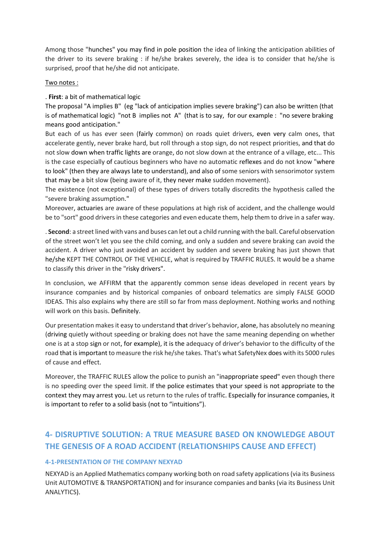Among those "hunches" you may find in pole position the idea of linking the anticipation abilities of the driver to its severe braking : if he/she brakes severely, the idea is to consider that he/she is surprised, proof that he/she did not anticipate.

#### Two notes :

#### . **First**: a bit of mathematical logic

The proposal "A implies B" (eg "lack of anticipation implies severe braking") can also be written (that is of mathematical logic) "not B implies not A" (that is to say, for our example : "no severe braking means good anticipation."

But each of us has ever seen (fairly common) on roads quiet drivers, even very calm ones, that accelerate gently, never brake hard, but roll through a stop sign, do not respect priorities, and that do not slow down when traffic lights are orange, do not slow down at the entrance of a village, etc... This is the case especially of cautious beginners who have no automatic reflexes and do not know "where to look" (then they are always late to understand), and also of some seniors with sensorimotor system that may be a bit slow (being aware of it, they never make sudden movement).

The existence (not exceptional) of these types of drivers totally discredits the hypothesis called the "severe braking assumption."

Moreover, actuaries are aware of these populations at high risk of accident, and the challenge would be to "sort" good drivers in these categories and even educate them, help them to drive in a safer way.

. **Second**: a street lined with vans and buses can let out a child running with the ball. Careful observation of the street won't let you see the child coming, and only a sudden and severe braking can avoid the accident. A driver who just avoided an accident by sudden and severe braking has just shown that he/she KEPT THE CONTROL OF THE VEHICLE, what is required by TRAFFIC RULES. It would be a shame to classify this driver in the "risky drivers".

In conclusion, we AFFIRM that the apparently common sense ideas developed in recent years by insurance companies and by historical companies of onboard telematics are simply FALSE GOOD IDEAS. This also explains why there are still so far from mass deployment. Nothing works and nothing will work on this basis. Definitely.

Our presentation makes it easy to understand that driver's behavior, alone, has absolutely no meaning (driving quietly without speeding or braking does not have the same meaning depending on whether one is at a stop sign or not, for example), it is the adequacy of driver's behavior to the difficulty of the road that is important to measure the risk he/she takes. That's what SafetyNex does with its 5000 rules of cause and effect.

Moreover, the TRAFFIC RULES allow the police to punish an "inappropriate speed" even though there is no speeding over the speed limit. If the police estimates that your speed is not appropriate to the context they may arrest you. Let us return to the rules of traffic. Especially for insurance companies, it is important to refer to a solid basis (not to "intuitions").

# **4- DISRUPTIVE SOLUTION: A TRUE MEASURE BASED ON KNOWLEDGE ABOUT THE GENESIS OF A ROAD ACCIDENT (RELATIONSHIPS CAUSE AND EFFECT)**

#### **4-1-PRESENTATION OF THE COMPANY NEXYAD**

NEXYAD is an Applied Mathematics company working both on road safety applications(via its Business Unit AUTOMOTIVE & TRANSPORTATION) and for insurance companies and banks (via its Business Unit ANALYTICS).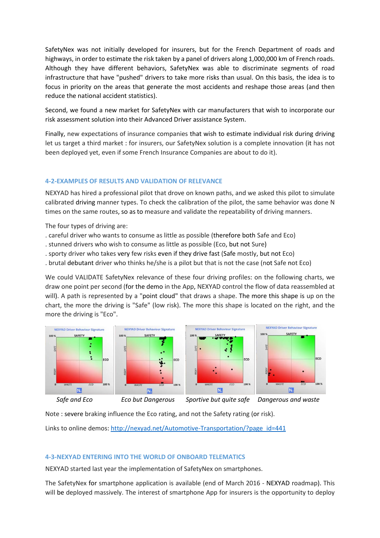SafetyNex was not initially developed for insurers, but for the French Department of roads and highways, in order to estimate the risk taken by a panel of drivers along 1,000,000 km of French roads. Although they have different behaviors, SafetyNex was able to discriminate segments of road infrastructure that have "pushed" drivers to take more risks than usual. On this basis, the idea is to focus in priority on the areas that generate the most accidents and reshape those areas (and then reduce the national accident statistics).

Second, we found a new market for SafetyNex with car manufacturers that wish to incorporate our risk assessment solution into their Advanced Driver assistance System.

Finally, new expectations of insurance companies that wish to estimate individual risk during driving let us target a third market : for insurers, our SafetyNex solution is a complete innovation (it has not been deployed yet, even if some French Insurance Companies are about to do it).

#### **4-2-EXAMPLES OF RESULTS AND VALIDATION OF RELEVANCE**

NEXYAD has hired a professional pilot that drove on known paths, and we asked this pilot to simulate calibrated driving manner types. To check the calibration of the pilot, the same behavior was done N times on the same routes, so as to measure and validate the repeatability of driving manners.

The four types of driving are:

- . careful driver who wants to consume as little as possible (therefore both Safe and Eco)
- . stunned drivers who wish to consume as little as possible (Eco, but not Sure)
- . sporty driver who takes very few risks even if they drive fast (Safe mostly, but not Eco)
- . brutal debutant driver who thinks he/she is a pilot but that is not the case (not Safe not Eco)

We could VALIDATE SafetyNex relevance of these four driving profiles: on the following charts, we draw one point per second (for the demo in the App, NEXYAD control the flow of data reassembled at will). A path is represented by a "point cloud" that draws a shape. The more this shape is up on the chart, the more the driving is "Safe" (low risk). The more this shape is located on the right, and the more the driving is "Eco".



 *Safe and Eco Eco but Dangerous Sportive but quite safe Dangerous and waste*

Note : severe braking influence the Eco rating, and not the Safety rating (or risk).

Links to online demos: [http://nexyad.net/Automotive-Transportation/?page\\_id=441](http://nexyad.net/Automotive-Transportation/?page_id=441)

#### **4-3-NEXYAD ENTERING INTO THE WORLD OF ONBOARD TELEMATICS**

NEXYAD started last year the implementation of SafetyNex on smartphones.

The SafetyNex for smartphone application is available (end of March 2016 - NEXYAD roadmap). This will be deployed massively. The interest of smartphone App for insurers is the opportunity to deploy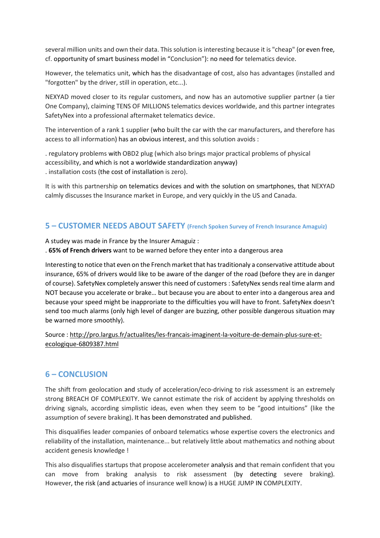several million units and own their data. This solution is interesting because it is "cheap" (or even free, cf. opportunity of smart business model in "Conclusion"): no need for telematics device.

However, the telematics unit, which has the disadvantage of cost, also has advantages (installed and "forgotten" by the driver, still in operation, etc...).

NEXYAD moved closer to its regular customers, and now has an automotive supplier partner (a tier One Company), claiming TENS OF MILLIONS telematics devices worldwide, and this partner integrates SafetyNex into a professional aftermaket telematics device.

The intervention of a rank 1 supplier (who built the car with the car manufacturers, and therefore has access to all information) has an obvious interest, and this solution avoids :

. regulatory problems with OBD2 plug (which also brings major practical problems of physical accessibility, and which is not a worldwide standardization anyway) . installation costs (the cost of installation is zero).

It is with this partnership on telematics devices and with the solution on smartphones, that NEXYAD calmly discusses the Insurance market in Europe, and very quickly in the US and Canada.

### **5 – CUSTOMER NEEDS ABOUT SAFETY (French Spoken Survey of French Insurance Amaguiz)**

A studey was made in France by the Insurer Amaguiz :

. **65% of French drivers** want to be warned before they enter into a dangerous area

Interesting to notice that even on the French market that has traditionaly a conservative attitude about insurance, 65% of drivers would like to be aware of the danger of the road (before they are in danger of course). SafetyNex completely answer this need of customers : SafetyNex sends real time alarm and NOT because you accelerate or brake… but because you are about to enter into a dangerous area and because your speed might be inapproriate to the difficulties you will have to front. SafetyNex doesn't send too much alarms (only high level of danger are buzzing, other possible dangerous situation may be warned more smoothly).

Source [: http://pro.largus.fr/actualites/les-francais-imaginent-la-voiture-de-demain-plus-sure-et](http://pro.largus.fr/actualites/les-francais-imaginent-la-voiture-de-demain-plus-sure-et-ecologique-6809387.html)[ecologique-6809387.html](http://pro.largus.fr/actualites/les-francais-imaginent-la-voiture-de-demain-plus-sure-et-ecologique-6809387.html)

### **6 – CONCLUSION**

The shift from geolocation and study of acceleration/eco-driving to risk assessment is an extremely strong BREACH OF COMPLEXITY. We cannot estimate the risk of accident by applying thresholds on driving signals, according simplistic ideas, even when they seem to be "good intuitions" (like the assumption of severe braking). It has been demonstrated and published.

This disqualifies leader companies of onboard telematics whose expertise covers the electronics and reliability of the installation, maintenance... but relatively little about mathematics and nothing about accident genesis knowledge !

This also disqualifies startups that propose accelerometer analysis and that remain confident that you can move from braking analysis to risk assessment (by detecting severe braking). However, the risk (and actuaries of insurance well know) is a HUGE JUMP IN COMPLEXITY.